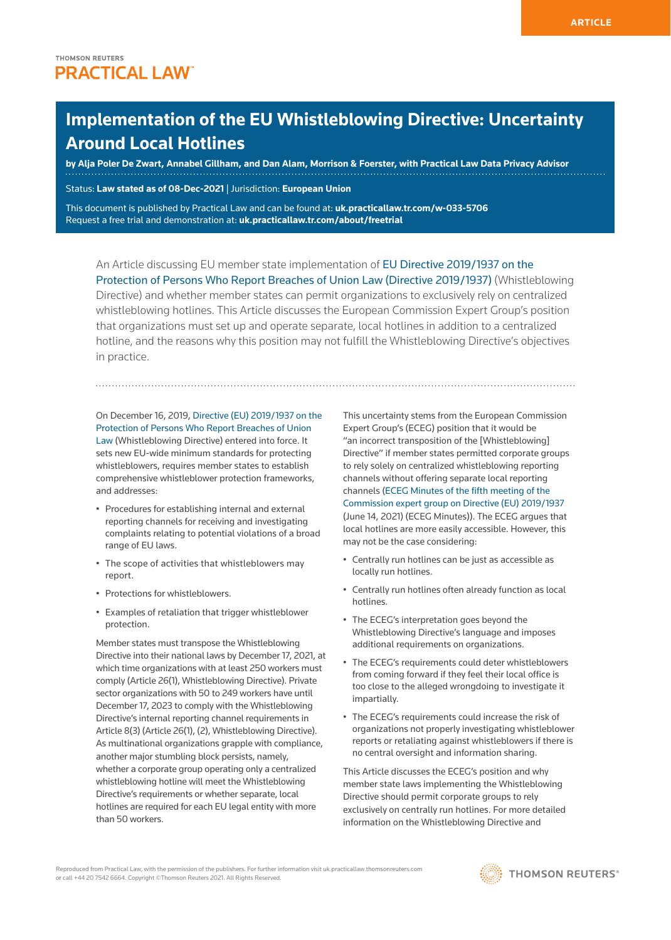# **Implementation of the EU Whistleblowing Directive: Uncertainty Around Local Hotlines**

**by [Alja Poler De Zwart](https://www.mofo.com/people/alja-poler-de-zwart.html), [Annabel Gillham,](https://www.mofo.com/people/annabel-gillham.html) and [Dan Alam](https://www.mofo.com/people/dan-alam.html), Morrison & Foerster, with Practical Law Data Privacy Advisor**

Status: **Law stated as of 08-Dec-2021** | Jurisdiction: **European Union**

This document is published by Practical Law and can be found at: **[uk.practicallaw.tr.com/w-033-5706](http://uk.practicallaw.tr.com/w-033-5706)** Request a free trial and demonstration at: **[uk.practicallaw.tr.com/about/freetrial](http://uk.practicallaw.tr.com/about/freetrial)**

An Article discussing EU member state implementation of [EU Directive 2019/1937 on the](https://eur-lex.europa.eu/legal-content/EN/TXT/HTML/?uri=CELEX:32019L1937&from=en)  [Protection of Persons Who Report Breaches of Union Law \(Directive 2019/1937\)](https://eur-lex.europa.eu/legal-content/EN/TXT/HTML/?uri=CELEX:32019L1937&from=en) (Whistleblowing Directive) and whether member states can permit organizations to exclusively rely on centralized whistleblowing hotlines. This Article discusses the European Commission Expert Group's position that organizations must set up and operate separate, local hotlines in addition to a centralized hotline, and the reasons why this position may not fulfill the Whistleblowing Directive's objectives in practice.

On December 16, 2019, [Directive \(EU\) 2019/1937 on the](https://eur-lex.europa.eu/legal-content/EN/TXT/HTML/?uri=CELEX:32019L1937&from=en)  [Protection of Persons Who Report Breaches of Union](https://eur-lex.europa.eu/legal-content/EN/TXT/HTML/?uri=CELEX:32019L1937&from=en)  [Law](https://eur-lex.europa.eu/legal-content/EN/TXT/HTML/?uri=CELEX:32019L1937&from=en) (Whistleblowing Directive) entered into force. It sets new EU-wide minimum standards for protecting whistleblowers, requires member states to establish comprehensive whistleblower protection frameworks, and addresses:

- Procedures for establishing internal and external reporting channels for receiving and investigating complaints relating to potential violations of a broad range of EU laws.
- The scope of activities that whistleblowers may report.
- Protections for whistleblowers.
- Examples of retaliation that trigger whistleblower protection.

Member states must transpose the Whistleblowing Directive into their national laws by December 17, 2021, at which time organizations with at least 250 workers must comply (Article 26(1), Whistleblowing Directive). Private sector organizations with 50 to 249 workers have until December 17, 2023 to comply with the Whistleblowing Directive's internal reporting channel requirements in Article 8(3) (Article 26(1), (2), Whistleblowing Directive). As multinational organizations grapple with compliance, another major stumbling block persists, namely, whether a corporate group operating only a centralized whistleblowing hotline will meet the Whistleblowing Directive's requirements or whether separate, local hotlines are required for each EU legal entity with more than 50 workers.

This uncertainty stems from the European Commission Expert Group's (ECEG) position that it would be "an incorrect transposition of the [Whistleblowing] Directive" if member states permitted corporate groups to rely solely on centralized whistleblowing reporting channels without offering separate local reporting channels ([ECEG Minutes of the fifth meeting of the](https://ec.europa.eu/transparency/expert-groups-register/screen/meetings/consult?lang=en&meetingId=28015&fromExpertGroups=true)  [Commission expert group on Directive \(EU\) 2019/1937](https://ec.europa.eu/transparency/expert-groups-register/screen/meetings/consult?lang=en&meetingId=28015&fromExpertGroups=true) (June 14, 2021) (ECEG Minutes)). The ECEG argues that local hotlines are more easily accessible. However, this may not be the case considering:

- Centrally run hotlines can be just as accessible as locally run hotlines.
- Centrally run hotlines often already function as local hotlines.
- The ECEG's interpretation goes beyond the Whistleblowing Directive's language and imposes additional requirements on organizations.
- The ECEG's requirements could deter whistleblowers from coming forward if they feel their local office is too close to the alleged wrongdoing to investigate it impartially.
- The ECEG's requirements could increase the risk of organizations not properly investigating whistleblower reports or retaliating against whistleblowers if there is no central oversight and information sharing.

This Article discusses the ECEG's position and why member state laws implementing the Whistleblowing Directive should permit corporate groups to rely exclusively on centrally run hotlines. For more detailed information on the Whistleblowing Directive and

Reproduced from Practical Law, with the permission of the publishers. For further information visit uk.practicallaw.thomsonreuters.com or call +44 20 7542 6664. Copyright ©Thomson Reuters 2021. All Rights Reserved.

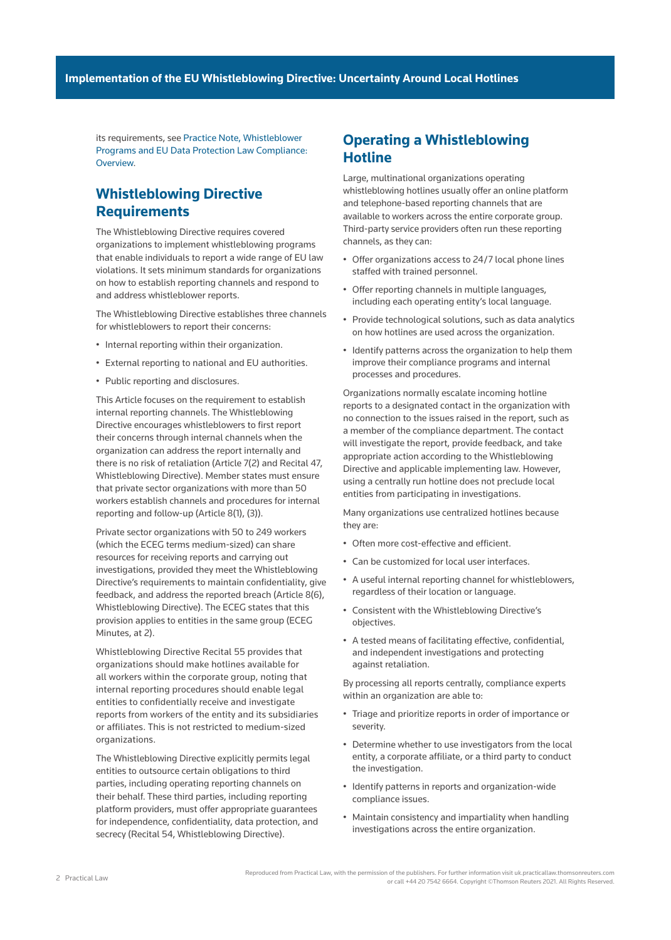its requirements, see [Practice Note, Whistleblower](http://uk.practicallaw.tr.com/w-020-0857)  [Programs and EU Data Protection Law Compliance:](http://uk.practicallaw.tr.com/w-020-0857)  [Overview.](http://uk.practicallaw.tr.com/w-020-0857)

## **Whistleblowing Directive Requirements**

The Whistleblowing Directive requires covered organizations to implement whistleblowing programs that enable individuals to report a wide range of EU law violations. It sets minimum standards for organizations on how to establish reporting channels and respond to and address whistleblower reports.

The Whistleblowing Directive establishes three channels for whistleblowers to report their concerns:

- Internal reporting within their organization.
- External reporting to national and EU authorities.
- Public reporting and disclosures.

This Article focuses on the requirement to establish internal reporting channels. The Whistleblowing Directive encourages whistleblowers to first report their concerns through internal channels when the organization can address the report internally and there is no risk of retaliation (Article 7(2) and Recital 47, Whistleblowing Directive). Member states must ensure that private sector organizations with more than 50 workers establish channels and procedures for internal reporting and follow-up (Article 8(1), (3)).

Private sector organizations with 50 to 249 workers (which the ECEG terms medium-sized) can share resources for receiving reports and carrying out investigations, provided they meet the Whistleblowing Directive's requirements to maintain confidentiality, give feedback, and address the reported breach (Article 8(6), Whistleblowing Directive). The ECEG states that this provision applies to entities in the same group (ECEG Minutes, at 2).

Whistleblowing Directive Recital 55 provides that organizations should make hotlines available for all workers within the corporate group, noting that internal reporting procedures should enable legal entities to confidentially receive and investigate reports from workers of the entity and its subsidiaries or affiliates. This is not restricted to medium-sized organizations.

The Whistleblowing Directive explicitly permits legal entities to outsource certain obligations to third parties, including operating reporting channels on their behalf. These third parties, including reporting platform providers, must offer appropriate guarantees for independence, confidentiality, data protection, and secrecy (Recital 54, Whistleblowing Directive).

### **Operating a Whistleblowing Hotline**

Large, multinational organizations operating whistleblowing hotlines usually offer an online platform and telephone-based reporting channels that are available to workers across the entire corporate group. Third-party service providers often run these reporting channels, as they can:

- Offer organizations access to 24/7 local phone lines staffed with trained personnel.
- Offer reporting channels in multiple languages, including each operating entity's local language.
- Provide technological solutions, such as data analytics on how hotlines are used across the organization.
- Identify patterns across the organization to help them improve their compliance programs and internal processes and procedures.

Organizations normally escalate incoming hotline reports to a designated contact in the organization with no connection to the issues raised in the report, such as a member of the compliance department. The contact will investigate the report, provide feedback, and take appropriate action according to the Whistleblowing Directive and applicable implementing law. However, using a centrally run hotline does not preclude local entities from participating in investigations.

Many organizations use centralized hotlines because they are:

- Often more cost-effective and efficient.
- Can be customized for local user interfaces.
- A useful internal reporting channel for whistleblowers, regardless of their location or language.
- Consistent with the Whistleblowing Directive's objectives.
- A tested means of facilitating effective, confidential, and independent investigations and protecting against retaliation.

By processing all reports centrally, compliance experts within an organization are able to:

- Triage and prioritize reports in order of importance or severity.
- Determine whether to use investigators from the local entity, a corporate affiliate, or a third party to conduct the investigation.
- Identify patterns in reports and organization-wide compliance issues.
- Maintain consistency and impartiality when handling investigations across the entire organization.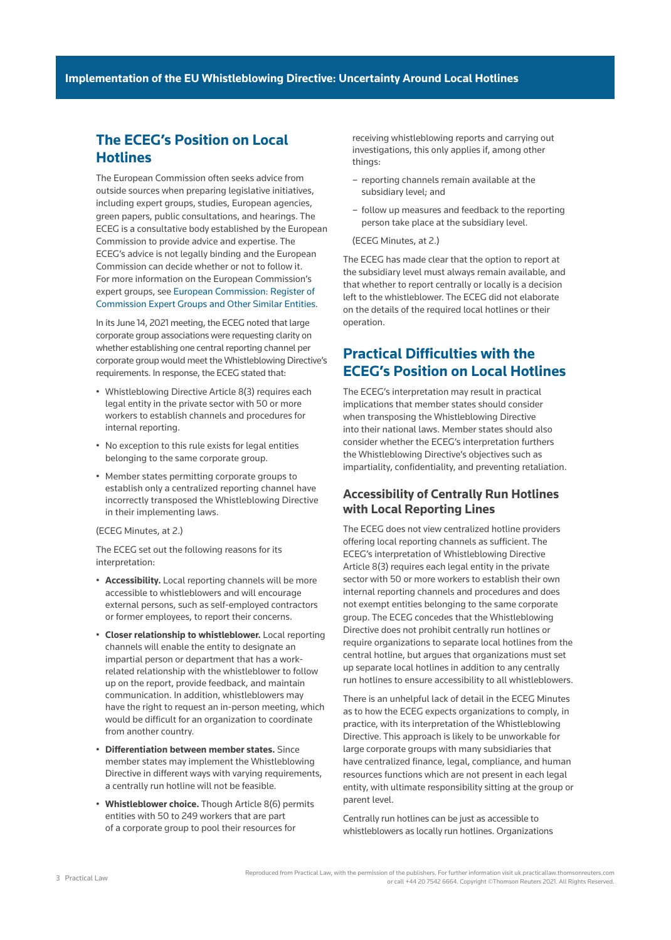### **The ECEG's Position on Local Hotlines**

The European Commission often seeks advice from outside sources when preparing legislative initiatives, including expert groups, studies, European agencies, green papers, public consultations, and hearings. The ECEG is a consultative body established by the European Commission to provide advice and expertise. The ECEG's advice is not legally binding and the European Commission can decide whether or not to follow it. For more information on the European Commission's expert groups, see [European Commission: Register of](https://ec.europa.eu/transparency/expert-groups-register/screen/expert-groups-explained?lang=en)  [Commission Expert Groups and Other Similar Entities](https://ec.europa.eu/transparency/expert-groups-register/screen/expert-groups-explained?lang=en).

In its June 14, 2021 meeting, the ECEG noted that large corporate group associations were requesting clarity on whether establishing one central reporting channel per corporate group would meet the Whistleblowing Directive's requirements. In response, the ECEG stated that:

- Whistleblowing Directive Article 8(3) requires each legal entity in the private sector with 50 or more workers to establish channels and procedures for internal reporting.
- No exception to this rule exists for legal entities belonging to the same corporate group.
- Member states permitting corporate groups to establish only a centralized reporting channel have incorrectly transposed the Whistleblowing Directive in their implementing laws.

#### (ECEG Minutes, at 2.)

The ECEG set out the following reasons for its interpretation:

- **Accessibility.** Local reporting channels will be more accessible to whistleblowers and will encourage external persons, such as self-employed contractors or former employees, to report their concerns.
- **Closer relationship to whistleblower.** Local reporting channels will enable the entity to designate an impartial person or department that has a workrelated relationship with the whistleblower to follow up on the report, provide feedback, and maintain communication. In addition, whistleblowers may have the right to request an in-person meeting, which would be difficult for an organization to coordinate from another country.
- **Differentiation between member states.** Since member states may implement the Whistleblowing Directive in different ways with varying requirements, a centrally run hotline will not be feasible.
- **Whistleblower choice.** Though Article 8(6) permits entities with 50 to 249 workers that are part of a corporate group to pool their resources for

receiving whistleblowing reports and carrying out investigations, this only applies if, among other things:

- reporting channels remain available at the subsidiary level; and
- follow up measures and feedback to the reporting person take place at the subsidiary level.
- (ECEG Minutes, at 2.)

The ECEG has made clear that the option to report at the subsidiary level must always remain available, and that whether to report centrally or locally is a decision left to the whistleblower. The ECEG did not elaborate on the details of the required local hotlines or their operation.

# **Practical Difficulties with the ECEG's Position on Local Hotlines**

The ECEG's interpretation may result in practical implications that member states should consider when transposing the Whistleblowing Directive into their national laws. Member states should also consider whether the ECEG's interpretation furthers the Whistleblowing Directive's objectives such as impartiality, confidentiality, and preventing retaliation.

#### **Accessibility of Centrally Run Hotlines with Local Reporting Lines**

The ECEG does not view centralized hotline providers offering local reporting channels as sufficient. The ECEG's interpretation of Whistleblowing Directive Article 8(3) requires each legal entity in the private sector with 50 or more workers to establish their own internal reporting channels and procedures and does not exempt entities belonging to the same corporate group. The ECEG concedes that the Whistleblowing Directive does not prohibit centrally run hotlines or require organizations to separate local hotlines from the central hotline, but argues that organizations must set up separate local hotlines in addition to any centrally run hotlines to ensure accessibility to all whistleblowers.

There is an unhelpful lack of detail in the ECEG Minutes as to how the ECEG expects organizations to comply, in practice, with its interpretation of the Whistleblowing Directive. This approach is likely to be unworkable for large corporate groups with many subsidiaries that have centralized finance, legal, compliance, and human resources functions which are not present in each legal entity, with ultimate responsibility sitting at the group or parent level.

Centrally run hotlines can be just as accessible to whistleblowers as locally run hotlines. Organizations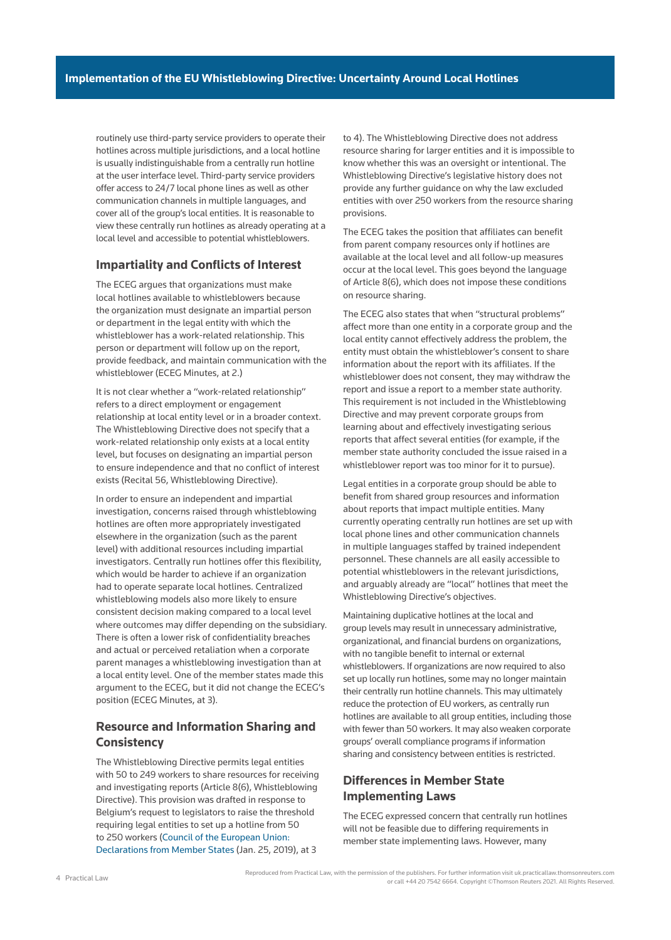routinely use third-party service providers to operate their hotlines across multiple jurisdictions, and a local hotline is usually indistinguishable from a centrally run hotline at the user interface level. Third-party service providers offer access to 24/7 local phone lines as well as other communication channels in multiple languages, and cover all of the group's local entities. It is reasonable to view these centrally run hotlines as already operating at a local level and accessible to potential whistleblowers.

#### **Impartiality and Conflicts of Interest**

The ECEG argues that organizations must make local hotlines available to whistleblowers because the organization must designate an impartial person or department in the legal entity with which the whistleblower has a work-related relationship. This person or department will follow up on the report, provide feedback, and maintain communication with the whistleblower (ECEG Minutes, at 2.)

It is not clear whether a "work-related relationship" refers to a direct employment or engagement relationship at local entity level or in a broader context. The Whistleblowing Directive does not specify that a work-related relationship only exists at a local entity level, but focuses on designating an impartial person to ensure independence and that no conflict of interest exists (Recital 56, Whistleblowing Directive).

In order to ensure an independent and impartial investigation, concerns raised through whistleblowing hotlines are often more appropriately investigated elsewhere in the organization (such as the parent level) with additional resources including impartial investigators. Centrally run hotlines offer this flexibility, which would be harder to achieve if an organization had to operate separate local hotlines. Centralized whistleblowing models also more likely to ensure consistent decision making compared to a local level where outcomes may differ depending on the subsidiary. There is often a lower risk of confidentiality breaches and actual or perceived retaliation when a corporate parent manages a whistleblowing investigation than at a local entity level. One of the member states made this argument to the ECEG, but it did not change the ECEG's position (ECEG Minutes, at 3).

### **Resource and Information Sharing and Consistency**

The Whistleblowing Directive permits legal entities with 50 to 249 workers to share resources for receiving and investigating reports (Article 8(6), Whistleblowing Directive). This provision was drafted in response to Belgium's request to legislators to raise the threshold requiring legal entities to set up a hotline from 50 to 250 workers [\(Council of the European Union:](https://data.consilium.europa.eu/doc/document/ST-5747-2019-ADD-1/en/pdf)  [Declarations from Member States](https://data.consilium.europa.eu/doc/document/ST-5747-2019-ADD-1/en/pdf) (Jan. 25, 2019), at 3

to 4). The Whistleblowing Directive does not address resource sharing for larger entities and it is impossible to know whether this was an oversight or intentional. The Whistleblowing Directive's legislative history does not provide any further guidance on why the law excluded entities with over 250 workers from the resource sharing provisions.

The ECEG takes the position that affiliates can benefit from parent company resources only if hotlines are available at the local level and all follow-up measures occur at the local level. This goes beyond the language of Article 8(6), which does not impose these conditions on resource sharing.

The ECEG also states that when "structural problems" affect more than one entity in a corporate group and the local entity cannot effectively address the problem, the entity must obtain the whistleblower's consent to share information about the report with its affiliates. If the whistleblower does not consent, they may withdraw the report and issue a report to a member state authority. This requirement is not included in the Whistleblowing Directive and may prevent corporate groups from learning about and effectively investigating serious reports that affect several entities (for example, if the member state authority concluded the issue raised in a whistleblower report was too minor for it to pursue).

Legal entities in a corporate group should be able to benefit from shared group resources and information about reports that impact multiple entities. Many currently operating centrally run hotlines are set up with local phone lines and other communication channels in multiple languages staffed by trained independent personnel. These channels are all easily accessible to potential whistleblowers in the relevant jurisdictions, and arguably already are "local" hotlines that meet the Whistleblowing Directive's objectives.

Maintaining duplicative hotlines at the local and group levels may result in unnecessary administrative, organizational, and financial burdens on organizations, with no tangible benefit to internal or external whistleblowers. If organizations are now required to also set up locally run hotlines, some may no longer maintain their centrally run hotline channels. This may ultimately reduce the protection of EU workers, as centrally run hotlines are available to all group entities, including those with fewer than 50 workers. It may also weaken corporate groups' overall compliance programs if information sharing and consistency between entities is restricted.

#### **Differences in Member State Implementing Laws**

The ECEG expressed concern that centrally run hotlines will not be feasible due to differing requirements in member state implementing laws. However, many